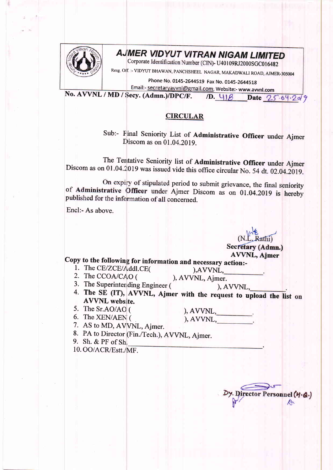

## AJMER VIDYUT VITRAN NIGAM LIMITED<br>Corporate Identification Number (CIN)- U40109RJ2000SGC016482

Resg olf. :- vIDYUT BHAWAN, PANCHSHEEL NAGAR, MAKADWALI ROAD, AJMER-305004

Phone No. 0145-2644519 Fax No. 0145-2644518 Email:- secretaryavvnl@gmail.com, Website:- www.awnl.com

No.  $AVVNL / MD / Secy. (Admn.)/DPC/F.$  (D.  $41\beta$ ) Date  $25.64.2049$ 

## **CIRCULAR**

Sub:- Final Seniority List of Administrative Officer under Ajmer Discom as on 01.04.2019.

The Tentative Seniority list of Administrative Officer under Ajmer Discom as on 01.04.2019 was issued vide this office circular No. 54 dt. 02.04.2019.

On expiry of stipulated period to submit grievance, the final seniority of **Administrative Officer** under Ajmer Discom as on 01.04.2019 is hereby published for the information of all concerned.

Encl:- As above.

Secretary (Admn.)

AVVNL, Ajmer<br>- Copy to the following for information and necessary action:

- 1. The CE/ZCE/Addl.CE(
(a), AVVNL,<br>
2. The CCOA/CAO (c), AVVNL, Ajmer.<br>
3. The Superintending Engineer (c), AVVNL,<br>
4. The SE (IT), AVVNL, Ajmer with the request to upload the list on<br>
AVVNL website.
- 5. The Sr.AO/AO (

6. The XEN/AEN (

), AVVNL,  $AVVNL$ ,

7. AS to MD, AVVNL, Ajmer.

8. PA to Director (Fin./Tech.), AVVNL, Ajmer.<br>9. Sh. & PF of Sh.

10. OO/ACR/Estt./MF.

irector Personnel (M.A.)